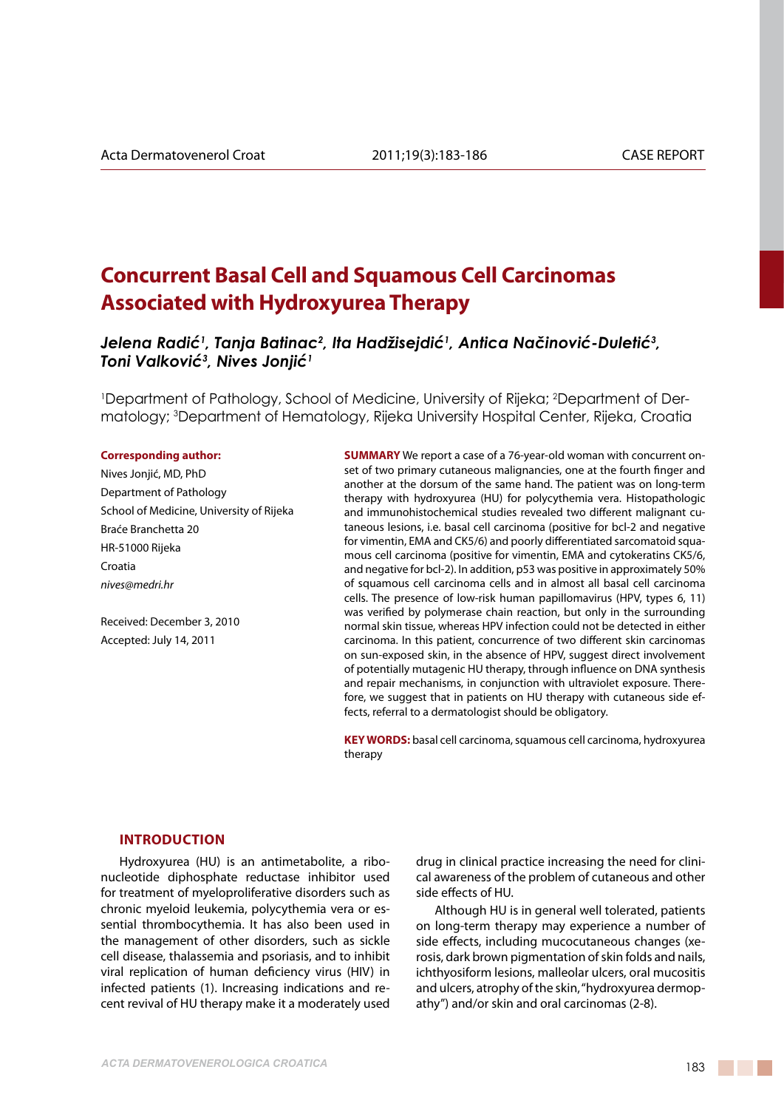# **Concurrent Basal Cell and Squamous Cell Carcinomas Associated with Hydroxyurea Therapy**

Jelena Radić<sup>1</sup>, Tanja Batinac<sup>2</sup>, Ita Hadžisejdić<sup>1</sup>, Antica Načinović-Duletić<sup>3</sup>, *Toni Valković<sup>3</sup> , Nives Jonjić<sup>1</sup>*

1 Department of Pathology, School of Medicine, University of Rijeka; 2 Department of Dermatology; 3 Department of Hematology, Rijeka University Hospital Center, Rijeka, Croatia

#### **Corresponding author:**

Nives Jonjić, MD, PhD Department of Pathology School of Medicine, University of Rijeka Braće Branchetta 20 HR-51000 Rijeka Croatia *nives@medri.hr*

Received: December 3, 2010 Accepted: July 14, 2011

**SUMMARY** We report a case of a 76-year-old woman with concurrent onset of two primary cutaneous malignancies, one at the fourth finger and another at the dorsum of the same hand. The patient was on long-term therapy with hydroxyurea (HU) for polycythemia vera. Histopathologic and immunohistochemical studies revealed two different malignant cutaneous lesions, i.e. basal cell carcinoma (positive for bcl-2 and negative for vimentin, EMA and CK5/6) and poorly differentiated sarcomatoid squamous cell carcinoma (positive for vimentin, EMA and cytokeratins CK5/6, and negative for bcl-2). In addition, p53 was positive in approximately 50% of squamous cell carcinoma cells and in almost all basal cell carcinoma cells. The presence of low-risk human papillomavirus (HPV, types 6, 11) was verified by polymerase chain reaction, but only in the surrounding normal skin tissue, whereas HPV infection could not be detected in either carcinoma. In this patient, concurrence of two different skin carcinomas on sun-exposed skin, in the absence of HPV, suggest direct involvement of potentially mutagenic HU therapy, through influence on DNA synthesis and repair mechanisms, in conjunction with ultraviolet exposure. Therefore, we suggest that in patients on HU therapy with cutaneous side effects, referral to a dermatologist should be obligatory.

**KEY WORDS:** basal cell carcinoma, squamous cell carcinoma, hydroxyurea therapy

#### **Introduction**

Hydroxyurea (HU) is an antimetabolite, a ribonucleotide diphosphate reductase inhibitor used for treatment of myeloproliferative disorders such as chronic myeloid leukemia, polycythemia vera or essential thrombocythemia. It has also been used in the management of other disorders, such as sickle cell disease, thalassemia and psoriasis, and to inhibit viral replication of human deficiency virus (HIV) in infected patients (1). Increasing indications and recent revival of HU therapy make it a moderately used drug in clinical practice increasing the need for clinical awareness of the problem of cutaneous and other side effects of HU.

Although HU is in general well tolerated, patients on long-term therapy may experience a number of side effects, including mucocutaneous changes (xerosis, dark brown pigmentation of skin folds and nails, ichthyosiform lesions, malleolar ulcers, oral mucositis and ulcers, atrophy of the skin, "hydroxyurea dermopathy") and/or skin and oral carcinomas (2-8).

**STATISTICS**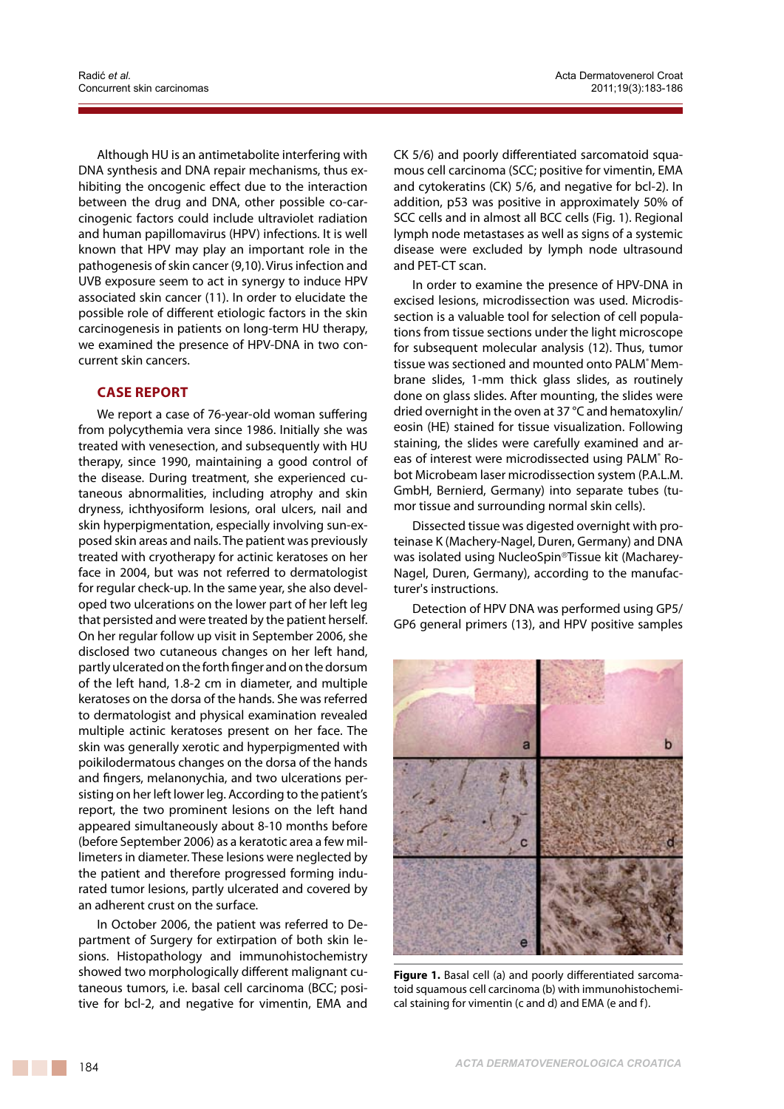Although HU is an antimetabolite interfering with DNA synthesis and DNA repair mechanisms, thus exhibiting the oncogenic effect due to the interaction between the drug and DNA, other possible co-carcinogenic factors could include ultraviolet radiation and human papillomavirus (HPV) infections. It is well known that HPV may play an important role in the pathogenesis of skin cancer (9,10). Virus infection and UVB exposure seem to act in synergy to induce HPV associated skin cancer (11). In order to elucidate the possible role of different etiologic factors in the skin carcinogenesis in patients on long-term HU therapy, we examined the presence of HPV-DNA in two concurrent skin cancers.

# **Case Report**

We report a case of 76-year-old woman suffering from polycythemia vera since 1986. Initially she was treated with venesection, and subsequently with HU therapy, since 1990, maintaining a good control of the disease. During treatment, she experienced cutaneous abnormalities, including atrophy and skin dryness, ichthyosiform lesions, oral ulcers, nail and skin hyperpigmentation, especially involving sun-exposed skin areas and nails. The patient was previously treated with cryotherapy for actinic keratoses on her face in 2004, but was not referred to dermatologist for regular check-up. In the same year, she also developed two ulcerations on the lower part of her left leg that persisted and were treated by the patient herself. On her regular follow up visit in September 2006, she disclosed two cutaneous changes on her left hand, partly ulcerated on the forth finger and on the dorsum of the left hand, 1.8-2 cm in diameter, and multiple keratoses on the dorsa of the hands. She was referred to dermatologist and physical examination revealed multiple actinic keratoses present on her face. The skin was generally xerotic and hyperpigmented with poikilodermatous changes on the dorsa of the hands and fingers, melanonychia, and two ulcerations persisting on her left lower leg. According to the patient's report, the two prominent lesions on the left hand appeared simultaneously about 8-10 months before (before September 2006) as a keratotic area a few millimeters in diameter. These lesions were neglected by the patient and therefore progressed forming indurated tumor lesions, partly ulcerated and covered by an adherent crust on the surface.

In October 2006, the patient was referred to Department of Surgery for extirpation of both skin lesions. Histopathology and immunohistochemistry showed two morphologically different malignant cutaneous tumors, i.e. basal cell carcinoma (BCC; positive for bcl-2, and negative for vimentin, EMA and

CK 5/6) and poorly differentiated sarcomatoid squamous cell carcinoma (SCC; positive for vimentin, EMA and cytokeratins (CK) 5/6, and negative for bcl-2). In addition, p53 was positive in approximately 50% of SCC cells and in almost all BCC cells (Fig. 1). Regional lymph node metastases as well as signs of a systemic disease were excluded by lymph node ultrasound and PET-CT scan.

In order to examine the presence of HPV-DNA in excised lesions, microdissection was used. Microdissection is a valuable tool for selection of cell populations from tissue sections under the light microscope for subsequent molecular analysis (12). Thus, tumor tissue was sectioned and mounted onto PALM® Membrane slides, 1-mm thick glass slides, as routinely done on glass slides. After mounting, the slides were dried overnight in the oven at 37 °C and hematoxylin/ eosin (HE) stained for tissue visualization. Following staining, the slides were carefully examined and areas of interest were microdissected using PALM® Robot Microbeam laser microdissection system (P.A.L.M. GmbH, Bernierd, Germany) into separate tubes (tumor tissue and surrounding normal skin cells).

Dissected tissue was digested overnight with proteinase K (Machery-Nagel, Duren, Germany) and DNA was isolated using NucleoSpin®Tissue kit (Macharey-Nagel, Duren, Germany), according to the manufacturer's instructions.

Detection of HPV DNA was performed using GP5/ GP6 general primers (13), and HPV positive samples



**Figure 1.** Basal cell (a) and poorly differentiated sarcomatoid squamous cell carcinoma (b) with immunohistochemical staining for vimentin (c and d) and EMA (e and f).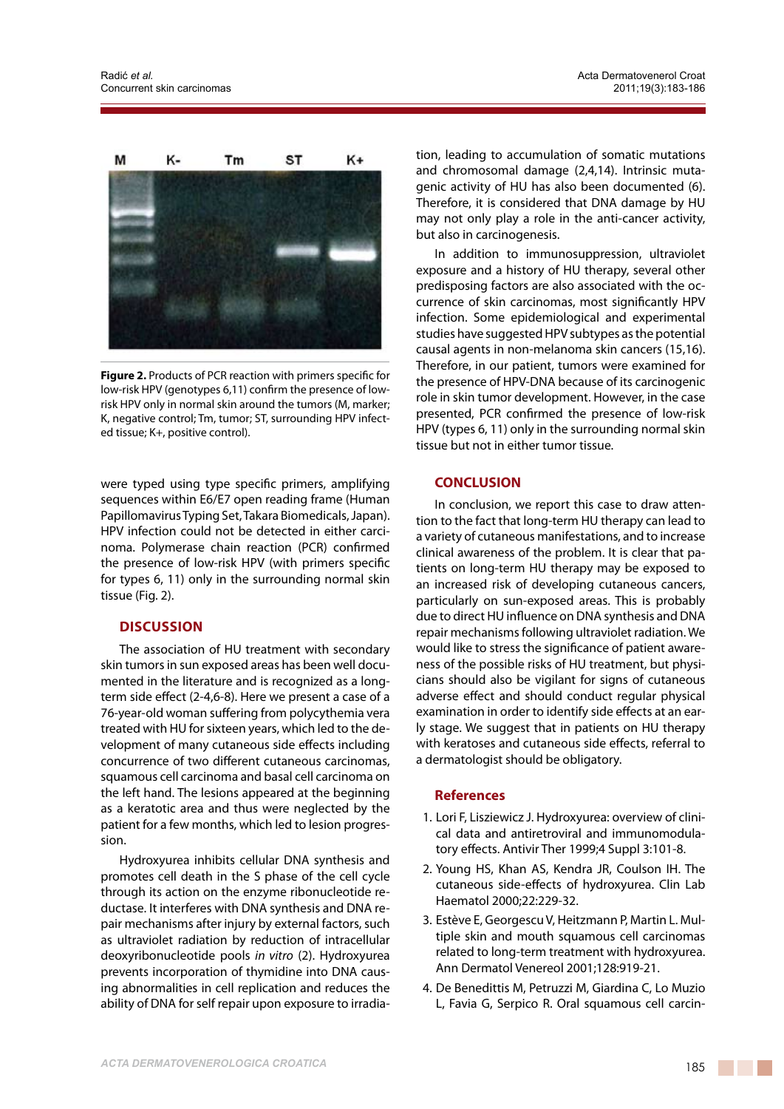

**Figure 2.** Products of PCR reaction with primers specific for low-risk HPV (genotypes 6,11) confirm the presence of lowrisk HPV only in normal skin around the tumors (M, marker; K, negative control; Tm, tumor; ST, surrounding HPV infected tissue; K+, positive control).

were typed using type specific primers, amplifying sequences within E6/E7 open reading frame (Human Papillomavirus Typing Set, Takara Biomedicals, Japan). HPV infection could not be detected in either carcinoma. Polymerase chain reaction (PCR) confirmed the presence of low-risk HPV (with primers specific for types 6, 11) only in the surrounding normal skin tissue (Fig. 2).

# **Discussion**

The association of HU treatment with secondary skin tumors in sun exposed areas has been well documented in the literature and is recognized as a longterm side effect (2-4,6-8). Here we present a case of a 76-year-old woman suffering from polycythemia vera treated with HU for sixteen years, which led to the development of many cutaneous side effects including concurrence of two different cutaneous carcinomas, squamous cell carcinoma and basal cell carcinoma on the left hand. The lesions appeared at the beginning as a keratotic area and thus were neglected by the patient for a few months, which led to lesion progression.

Hydroxyurea inhibits cellular DNA synthesis and promotes cell death in the S phase of the cell cycle through its action on the enzyme ribonucleotide reductase. It interferes with DNA synthesis and DNA repair mechanisms after injury by external factors, such as ultraviolet radiation by reduction of intracellular deoxyribonucleotide pools *in vitro* (2). Hydroxyurea prevents incorporation of thymidine into DNA causing abnormalities in cell replication and reduces the ability of DNA for self repair upon exposure to irradiation, leading to accumulation of somatic mutations and chromosomal damage (2,4,14). Intrinsic mutagenic activity of HU has also been documented (6). Therefore, it is considered that DNA damage by HU may not only play a role in the anti-cancer activity, but also in carcinogenesis.

In addition to immunosuppression, ultraviolet exposure and a history of HU therapy, several other predisposing factors are also associated with the occurrence of skin carcinomas, most significantly HPV infection. Some epidemiological and experimental studies have suggested HPV subtypes as the potential causal agents in non-melanoma skin cancers (15,16). Therefore, in our patient, tumors were examined for the presence of HPV-DNA because of its carcinogenic role in skin tumor development. However, in the case presented, PCR confirmed the presence of low-risk HPV (types 6, 11) only in the surrounding normal skin tissue but not in either tumor tissue.

## **CONCLUSION**

In conclusion, we report this case to draw attention to the fact that long-term HU therapy can lead to a variety of cutaneous manifestations, and to increase clinical awareness of the problem. It is clear that patients on long-term HU therapy may be exposed to an increased risk of developing cutaneous cancers, particularly on sun-exposed areas. This is probably due to direct HU influence on DNA synthesis and DNA repair mechanisms following ultraviolet radiation. We would like to stress the significance of patient awareness of the possible risks of HU treatment, but physicians should also be vigilant for signs of cutaneous adverse effect and should conduct regular physical examination in order to identify side effects at an early stage. We suggest that in patients on HU therapy with keratoses and cutaneous side effects, referral to a dermatologist should be obligatory.

## **References**

- 1. Lori F, Lisziewicz J. Hydroxyurea: overview of clinical data and antiretroviral and immunomodulatory effects. Antivir Ther 1999;4 Suppl 3:101-8.
- 2. Young HS, Khan AS, Kendra JR, Coulson IH. The cutaneous side-effects of hydroxyurea. Clin Lab Haematol 2000;22:229-32.
- 3. Estève E, Georgescu V, Heitzmann P, Martin L. Multiple skin and mouth squamous cell carcinomas related to long-term treatment with hydroxyurea. Ann Dermatol Venereol 2001;128:919-21.
- 4. De Benedittis M, Petruzzi M, Giardina C, Lo Muzio L, Favia G, Serpico R. Oral squamous cell carcin-

and the control